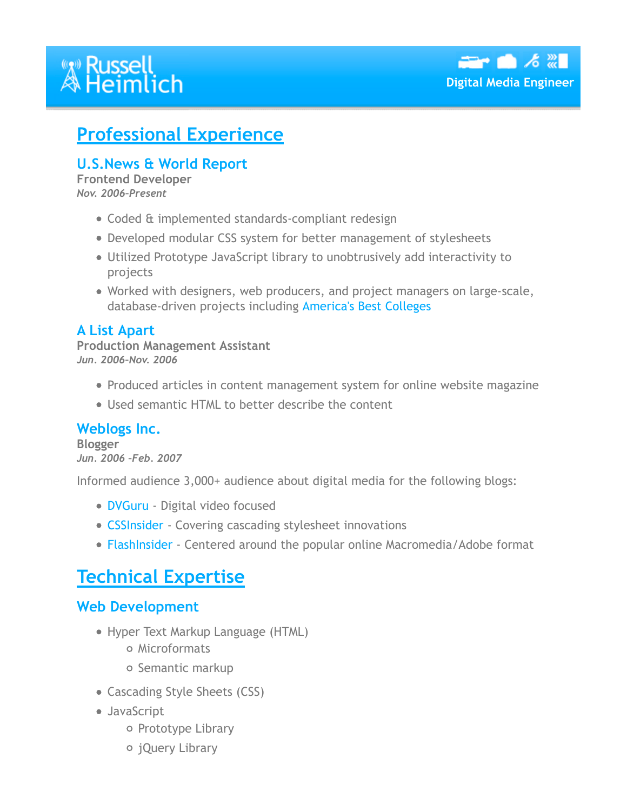# **<sup><b>***W* Russell<br>A Heimlich</sup>

f



## **Professional Experience**

#### **U.S.News & World Report**

**Frontend Developer** *Nov. 2006–Present*

- Coded & implemented standards-compliant redesign
- Developed modular CSS system for better management of stylesheets
- Utilized Prototype JavaScript library to unobtrusively add interactivity to projects
- Worked with designers, web producers, and project managers on large-scale, database-driven projects including America's Best Colleges

#### **A List Apart**

**Production Management Assistant** *Jun. 2006–Nov. 2006*

- Produced articles in content management system for online website magazine
- Used semantic HTML to better describe the content

#### **Weblogs Inc.**

**Blogger** *Jun. 2006 –Feb. 2007*

Informed audience 3,000+ audience about digital media for the following blogs:

- **DVGuru** Digital video focused
- CSSInsider Covering cascading stylesheet innovations
- FlashInsider Centered around the popular online Macromedia/Adobe format

## **Technical Expertise**

#### **Web Development**

- Hyper Text Markup Language (HTML)
	- o Microformats
	- o Semantic markup
- Cascading Style Sheets (CSS)
- JavaScript
	- o Prototype Library
	- jQuery Library